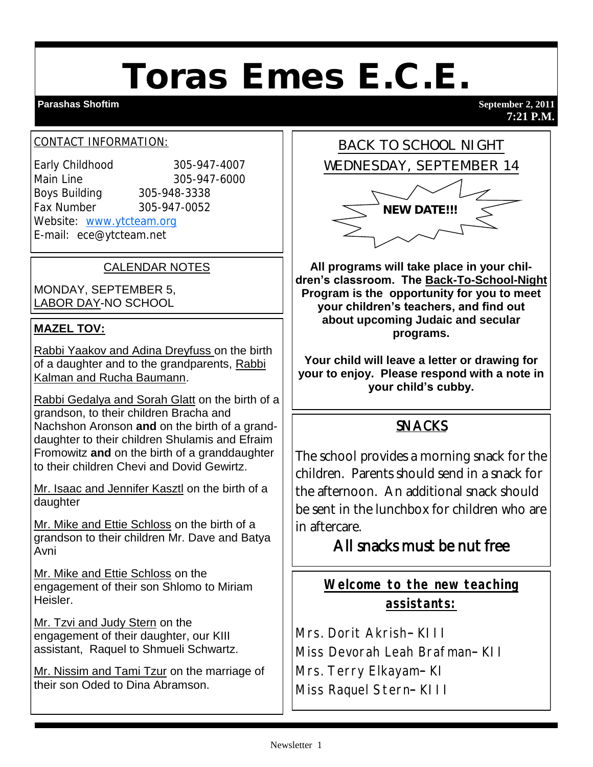# Toras Emes E.C.E.

#### **Parashas Shoftim** September 2, 2011

**7:21 P.M.**

#### CONTACT INFORMATION:

Early Childhood 305-947-4007 Main Line 305-947-6000 Boys Building 305-948-3338 Fax Number 305-947-0052 Website: [www.ytcteam.org](http://www.ytcteam.org/) E-mail: ece@ytcteam.net

CALENDAR NOTES

MONDAY, SEPTEMBER 5, LABOR DAY-NO SCHOOL

#### **MAZEL TOV:**

Rabbi Yaakov and Adina Dreyfuss on the birth of a daughter and to the grandparents, Rabbi Kalman and Rucha Baumann.

Rabbi Gedalya and Sorah Glatt on the birth of a grandson, to their children Bracha and Nachshon Aronson **and** on the birth of a granddaughter to their children Shulamis and Efraim Fromowitz **and** on the birth of a granddaughter to their children Chevi and Dovid Gewirtz.

Mr. Isaac and Jennifer Kasztl on the birth of a daughter

Mr. Mike and Ettie Schloss on the birth of a grandson to their children Mr. Dave and Batya Avni

Mr. Mike and Ettie Schloss on the engagement of their son Shlomo to Miriam Heisler.

Mr. Tzvi and Judy Stern on the engagement of their daughter, our KIII assistant, Raquel to Shmueli Schwartz.

Mr. Nissim and Tami Tzur on the marriage of their son Oded to Dina Abramson.



**All programs will take place in your children's classroom. The Back-To-School-Night Program is the opportunity for you to meet your children's teachers, and find out about upcoming Judaic and secular programs.** 

**Your child will leave a letter or drawing for your to enjoy. Please respond with a note in your child's cubby.**

### SNACKS

The school provides a morning snack for the children. Parents should send in a snack for the afternoon. An additional snack should be sent in the lunchbox for children who are in aftercare.

# All snacks must be nut free

**Welcome to the new teaching assistants:**

Mrs. Dorit Akrish– KIII

Miss Devorah Leah Brafman– KII

Mrs. Terry Elkayam– KI

Miss Raquel Stern– KIII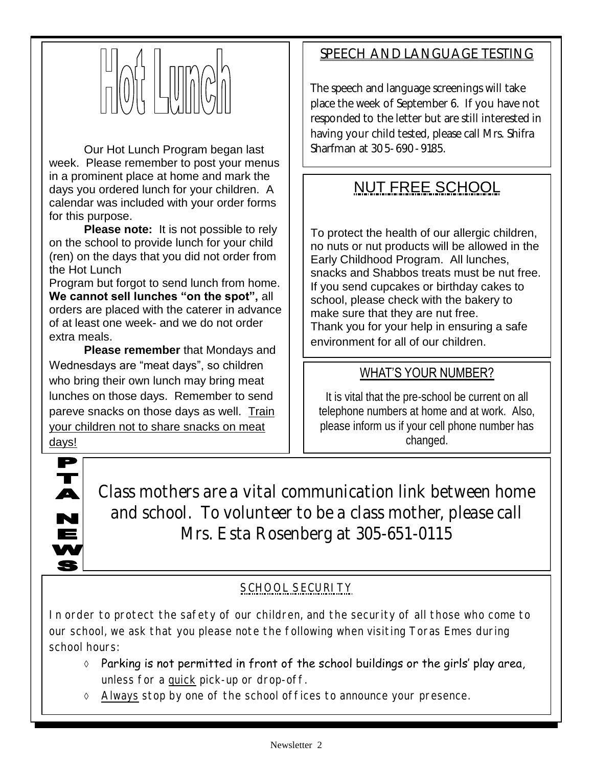

Our Hot Lunch Program began last week. Please remember to post your menus in a prominent place at home and mark the days you ordered lunch for your children. A calendar was included with your order forms for this purpose.

**Please note:** It is not possible to rely on the school to provide lunch for your child (ren) on the days that you did not order from the Hot Lunch

Program but forgot to send lunch from home. **We cannot sell lunches "on the spot",** all orders are placed with the caterer in advance of at least one week- and we do not order extra meals.

**Please remember** that Mondays and Wednesdays are "meat days", so children who bring their own lunch may bring meat lunches on those days. Remember to send pareve snacks on those days as well. Train your children not to share snacks on meat

# SPEECH AND LANGUAGE TESTING

The speech and language screenings will take place the week of September 6. If you have not responded to the letter but are still interested in having your child tested, please call Mrs. Shifra Sharfman at 305-690-9185.

# NUT FREE SCHOOL

To protect the health of our allergic children, no nuts or nut products will be allowed in the Early Childhood Program. All lunches, snacks and Shabbos treats must be nut free. If you send cupcakes or birthday cakes to school, please check with the bakery to make sure that they are nut free. Thank you for your help in ensuring a safe environment for all of our children.

### WHAT'S YOUR NUMBER?

It is vital that the pre-school be current on all telephone numbers at home and at work. Also, please inform us if your cell phone number has changed.

days!



Class mothers are a vital communication link between home and school. To volunteer to be a class mother, please call Mrs. Esta Rosenberg at 305-651-0115

# <u>SCHOOL SECURITY</u>

In order to protect the safety of our children, and the security of all those who come to our school, we ask that you please note the following when visiting Toras Emes during school hours:

- Parking is not permitted in front of the school buildings or the girls' play area, unless for a quick pick-up or drop-off.
- Always stop by one of the school offices to announce your presence.